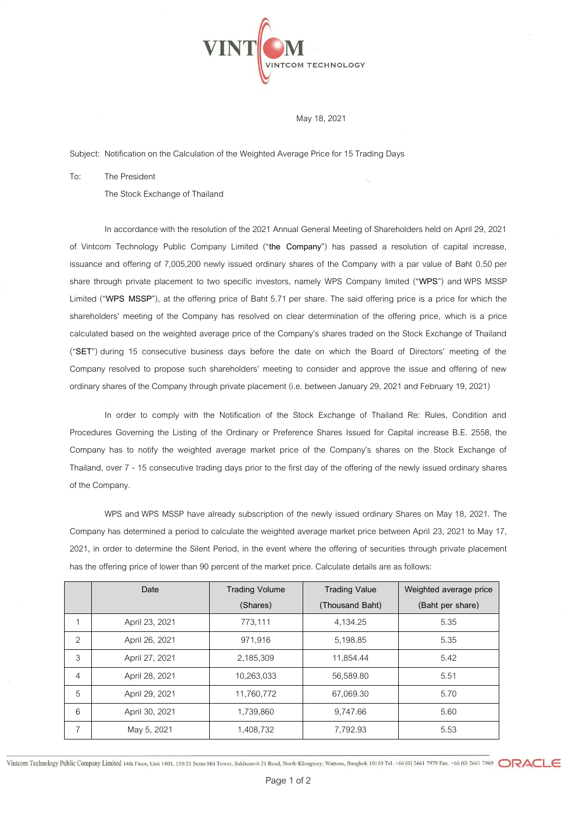

## May 18, 2021

Subject: Notification on the Calculation of the Weighted Average Price for 15 Trading Days

To: The President

The Stock Exchange of Thailand

In accordance with the resolution of the 2021 Annual General Meeting of Shareholders held on April 29, 2021 of Vintcom Technology Public Company Limited ("**the Company**") has passed a resolution of capital increase, issuance and offering of 7,005,200 newly issued ordinary shares of the Company with a par value of Baht 0.50 per share through private placement to two specific investors, namely WPS Company limited ("**WPS**") and WPS MSSP Limited ("**WPS MSSP**"), at the offering price of Baht 5.71 per share. The said offering price is a price for which the shareholders' meeting of the Company has resolved on clear determination of the offering price, which is a price calculated based on the weighted average price of the Company's shares traded on the Stock Exchange of Thailand ("**SET**") during 15 consecutive business days before the date on which the Board of Directors' meeting of the Company resolved to propose such shareholders' meeting to consider and approve the issue and offering of new ordinary shares of the Company through private placement (i.e. between January 29, 2021 and February 19, 2021)

In order to comply with the Notification of the Stock Exchange of Thailand Re: Rules, Condition and Procedures Governing the Listing of the Ordinary or Preference Shares Issued for Capital increase B.E. 2558, the Company has to notify the weighted average market price of the Company's shares on the Stock Exchange of Thailand, over 7 - 15 consecutive trading days prior to the first day of the offering of the newly issued ordinary shares of the Company.

WPS and WPS MSSP have already subscription of the newly issued ordinary Shares on May 18, 2021. The Company has determined a period to calculate the weighted average market price between April 23, 2021 to May 17, 2021, in order to determine the Silent Period, in the event where the offering of securities through private placement has the offering price of lower than 90 percent of the market price. Calculate details are as follows:

|                | Date           | <b>Trading Volume</b> | <b>Trading Value</b> | Weighted average price |
|----------------|----------------|-----------------------|----------------------|------------------------|
|                |                | (Shares)              | (Thousand Baht)      | (Baht per share)       |
|                | April 23, 2021 | 773.111               | 4,134.25             | 5.35                   |
| 2              | April 26, 2021 | 971.916               | 5,198.85             | 5.35                   |
| 3              | April 27, 2021 | 2,185,309             | 11,854.44            | 5.42                   |
| $\overline{4}$ | April 28, 2021 | 10,263,033            | 56,589.80            | 5.51                   |
| 5              | April 29, 2021 | 11,760,772            | 67,069.30            | 5.70                   |
| 6              | April 30, 2021 | 1,739,860             | 9,747.66             | 5.60                   |
| 7              | May 5, 2021    | 1,408,732             | 7,792.93             | 5.53                   |

Vintcom Technology Public Company Limited 14th Floor, Unit 1401, 159/21 Serm-Mit Tower, Sukhumvit 21 Road, North-Klongtoey, Wattana, Bangkok 10110 Tel. +66 (0) 2661 7979 Fax. +66 (0) 2661 7969 CRACL